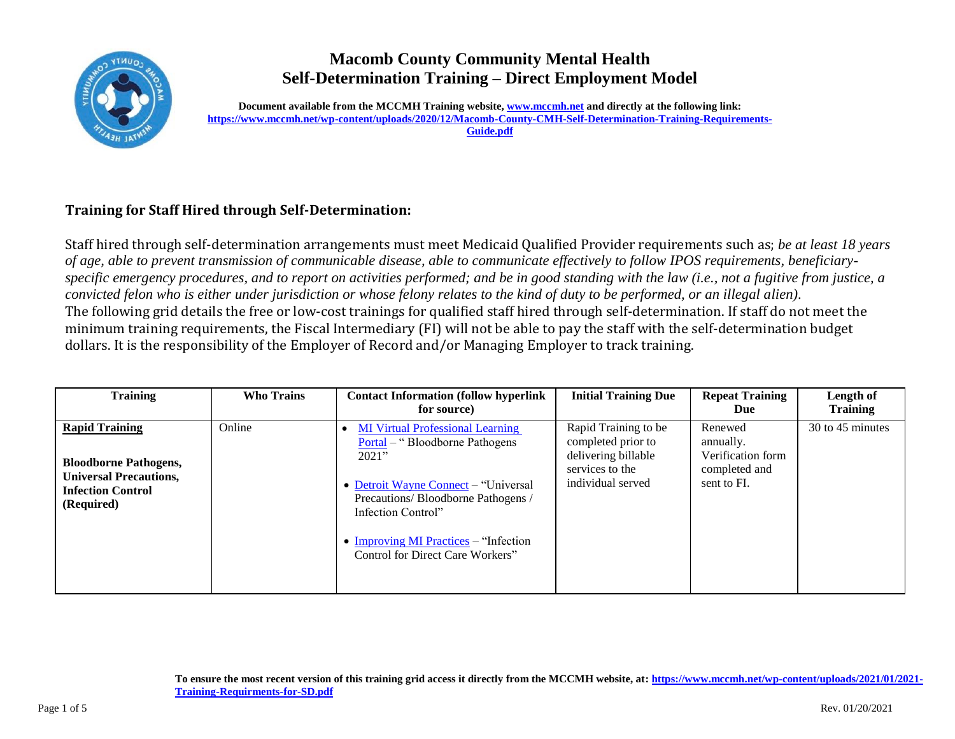

## **Macomb County Community Mental Health Self-Determination Training – Direct Employment Model**

**Document available from the MCCMH Training website[, www.mccmh.net](http://www.mccmh.net/) and directly at the following link: [https://www.mccmh.net/wp-content/uploads/2020/12/Macomb-County-CMH-Self-Determination-Training-Requirements-](https://www.mccmh.net/wp-content/uploads/2020/12/Macomb-County-CMH-Self-Determination-Training-Requirements-Guide.pdf)[Guide.pdf](https://www.mccmh.net/wp-content/uploads/2020/12/Macomb-County-CMH-Self-Determination-Training-Requirements-Guide.pdf)**

## **Training for Staff Hired through Self-Determination:**

Staff hired through self-determination arrangements must meet Medicaid Qualified Provider requirements such as; *be at least 18 years of age, able to prevent transmission of communicable disease, able to communicate effectively to follow IPOS requirements, beneficiaryspecific emergency procedures, and to report on activities performed; and be in good standing with the law (i.e., not a fugitive from justice, a convicted felon who is either under jurisdiction or whose felony relates to the kind of duty to be performed, or an illegal alien)*. The following grid details the free or low-cost trainings for qualified staff hired through self-determination. If staff do not meet the minimum training requirements, the Fiscal Intermediary (FI) will not be able to pay the staff with the self-determination budget dollars. It is the responsibility of the Employer of Record and/or Managing Employer to track training.

| <b>Training</b>                                                                                                                  | <b>Who Trains</b> | <b>Contact Information (follow hyperlink)</b><br>for source)                                                                                                                                                                                                            | <b>Initial Training Due</b>                                                                               | <b>Repeat Training</b><br>Due                                             | Length of<br><b>Training</b> |
|----------------------------------------------------------------------------------------------------------------------------------|-------------------|-------------------------------------------------------------------------------------------------------------------------------------------------------------------------------------------------------------------------------------------------------------------------|-----------------------------------------------------------------------------------------------------------|---------------------------------------------------------------------------|------------------------------|
| <b>Rapid Training</b><br><b>Bloodborne Pathogens,</b><br><b>Universal Precautions,</b><br><b>Infection Control</b><br>(Required) | Online            | <b>MI Virtual Professional Learning</b><br>Portal – "Bloodborne Pathogens"<br>2021"<br>• Detroit Wayne Connect – "Universal<br>Precautions/Bloodborne Pathogens /<br>Infection Control"<br>• Improving MI Practices $-$ "Infection"<br>Control for Direct Care Workers" | Rapid Training to be<br>completed prior to<br>delivering billable<br>services to the<br>individual served | Renewed<br>annually.<br>Verification form<br>completed and<br>sent to FI. | 30 to 45 minutes             |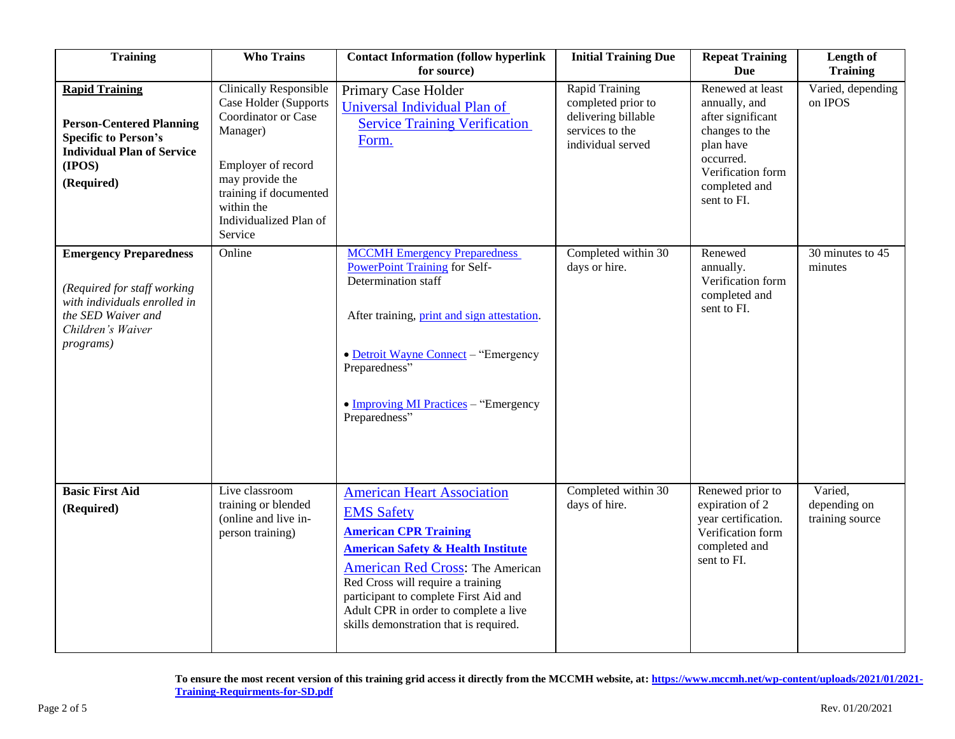| <b>Training</b>                                                                                                                                      | <b>Who Trains</b>                                                                                                                                                                                               | <b>Contact Information (follow hyperlink</b><br>for source)                                                                                                                                                                                                                                                                                         | <b>Initial Training Due</b>                                                                                | <b>Repeat Training</b><br><b>Due</b>                                                                                                                    | Length of<br><b>Training</b>               |
|------------------------------------------------------------------------------------------------------------------------------------------------------|-----------------------------------------------------------------------------------------------------------------------------------------------------------------------------------------------------------------|-----------------------------------------------------------------------------------------------------------------------------------------------------------------------------------------------------------------------------------------------------------------------------------------------------------------------------------------------------|------------------------------------------------------------------------------------------------------------|---------------------------------------------------------------------------------------------------------------------------------------------------------|--------------------------------------------|
| <b>Rapid Training</b><br><b>Person-Centered Planning</b><br><b>Specific to Person's</b><br><b>Individual Plan of Service</b><br>(IPOS)<br>(Required) | <b>Clinically Responsible</b><br>Case Holder (Supports<br>Coordinator or Case<br>Manager)<br>Employer of record<br>may provide the<br>training if documented<br>within the<br>Individualized Plan of<br>Service | Primary Case Holder<br>Universal Individual Plan of<br><b>Service Training Verification</b><br>Form.                                                                                                                                                                                                                                                | <b>Rapid Training</b><br>completed prior to<br>delivering billable<br>services to the<br>individual served | Renewed at least<br>annually, and<br>after significant<br>changes to the<br>plan have<br>occurred.<br>Verification form<br>completed and<br>sent to FI. | Varied, depending<br>on IPOS               |
| <b>Emergency Preparedness</b><br>(Required for staff working<br>with individuals enrolled in<br>the SED Waiver and<br>Children's Waiver<br>programs) | Online                                                                                                                                                                                                          | <b>MCCMH</b> Emergency Preparedness<br><b>PowerPoint Training for Self-</b><br>Determination staff<br>After training, print and sign attestation.<br>• Detroit Wayne Connect - "Emergency<br>Preparedness"<br>$\bullet$ Improving MI Practices – "Emergency"<br>Preparedness"                                                                       | Completed within 30<br>days or hire.                                                                       | Renewed<br>annually.<br>Verification form<br>completed and<br>sent to FI.                                                                               | 30 minutes to 45<br>minutes                |
| <b>Basic First Aid</b><br>(Required)                                                                                                                 | Live classroom<br>training or blended<br>(online and live in-<br>person training)                                                                                                                               | <b>American Heart Association</b><br><b>EMS Safety</b><br><b>American CPR Training</b><br><b>American Safety &amp; Health Institute</b><br><b>American Red Cross: The American</b><br>Red Cross will require a training<br>participant to complete First Aid and<br>Adult CPR in order to complete a live<br>skills demonstration that is required. | Completed within 30<br>days of hire.                                                                       | Renewed prior to<br>expiration of 2<br>year certification.<br>Verification form<br>completed and<br>sent to FI.                                         | Varied,<br>depending on<br>training source |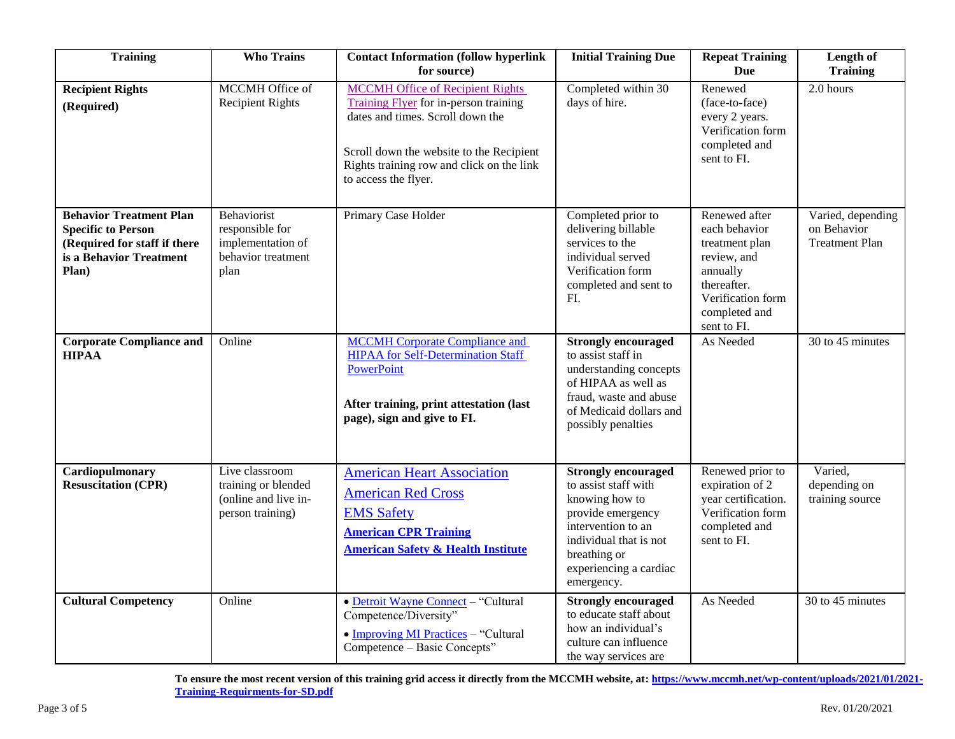| <b>Training</b>                                                                                                                 | <b>Who Trains</b>                                                                 | <b>Contact Information (follow hyperlink</b><br>for source)                                                                                                                                                                           | <b>Initial Training Due</b>                                                                                                                                                                       | <b>Repeat Training</b><br><b>Due</b>                                                                                                            | Length of<br><b>Training</b>                              |
|---------------------------------------------------------------------------------------------------------------------------------|-----------------------------------------------------------------------------------|---------------------------------------------------------------------------------------------------------------------------------------------------------------------------------------------------------------------------------------|---------------------------------------------------------------------------------------------------------------------------------------------------------------------------------------------------|-------------------------------------------------------------------------------------------------------------------------------------------------|-----------------------------------------------------------|
| <b>Recipient Rights</b><br>(Required)                                                                                           | <b>MCCMH</b> Office of<br><b>Recipient Rights</b>                                 | <b>MCCMH Office of Recipient Rights</b><br>Training Flyer for in-person training<br>dates and times. Scroll down the<br>Scroll down the website to the Recipient<br>Rights training row and click on the link<br>to access the flyer. | Completed within 30<br>days of hire.                                                                                                                                                              | Renewed<br>(face-to-face)<br>every 2 years.<br>Verification form<br>completed and<br>sent to FI.                                                | 2.0 hours                                                 |
| <b>Behavior Treatment Plan</b><br><b>Specific to Person</b><br>(Required for staff if there<br>is a Behavior Treatment<br>Plan) | Behaviorist<br>responsible for<br>implementation of<br>behavior treatment<br>plan | Primary Case Holder                                                                                                                                                                                                                   | Completed prior to<br>delivering billable<br>services to the<br>individual served<br>Verification form<br>completed and sent to<br>FI.                                                            | Renewed after<br>each behavior<br>treatment plan<br>review, and<br>annually<br>thereafter.<br>Verification form<br>completed and<br>sent to FI. | Varied, depending<br>on Behavior<br><b>Treatment Plan</b> |
| <b>Corporate Compliance and</b><br><b>HIPAA</b>                                                                                 | Online                                                                            | <b>MCCMH</b> Corporate Compliance and<br><b>HIPAA</b> for Self-Determination Staff<br>PowerPoint<br>After training, print attestation (last<br>page), sign and give to FI.                                                            | <b>Strongly encouraged</b><br>to assist staff in<br>understanding concepts<br>of HIPAA as well as<br>fraud, waste and abuse<br>of Medicaid dollars and<br>possibly penalties                      | As Needed                                                                                                                                       | 30 to 45 minutes                                          |
| Cardiopulmonary<br><b>Resuscitation (CPR)</b>                                                                                   | Live classroom<br>training or blended<br>(online and live in-<br>person training) | <b>American Heart Association</b><br><b>American Red Cross</b><br><b>EMS Safety</b><br><b>American CPR Training</b><br><b>American Safety &amp; Health Institute</b>                                                                  | <b>Strongly encouraged</b><br>to assist staff with<br>knowing how to<br>provide emergency<br>intervention to an<br>individual that is not<br>breathing or<br>experiencing a cardiac<br>emergency. | Renewed prior to<br>expiration of 2<br>year certification.<br>Verification form<br>completed and<br>sent to FI.                                 | Varied,<br>depending on<br>training source                |
| <b>Cultural Competency</b>                                                                                                      | Online                                                                            | • Detroit Wayne Connect - "Cultural<br>Competence/Diversity"<br>• Improving MI Practices - "Cultural<br>Competence - Basic Concepts"                                                                                                  | <b>Strongly encouraged</b><br>to educate staff about<br>how an individual's<br>culture can influence<br>the way services are                                                                      | As Needed                                                                                                                                       | 30 to 45 minutes                                          |

**To ensure the most recent version of this training grid access it directly from the MCCMH website, at[: https://www.mccmh.net/wp-content/uploads/2021/01/2021-](https://www.mccmh.net/wp-content/uploads/2021/01/2021-Training-Requirments-for-SD.pdf) [Training-Requirments-for-SD.pdf](https://www.mccmh.net/wp-content/uploads/2021/01/2021-Training-Requirments-for-SD.pdf)**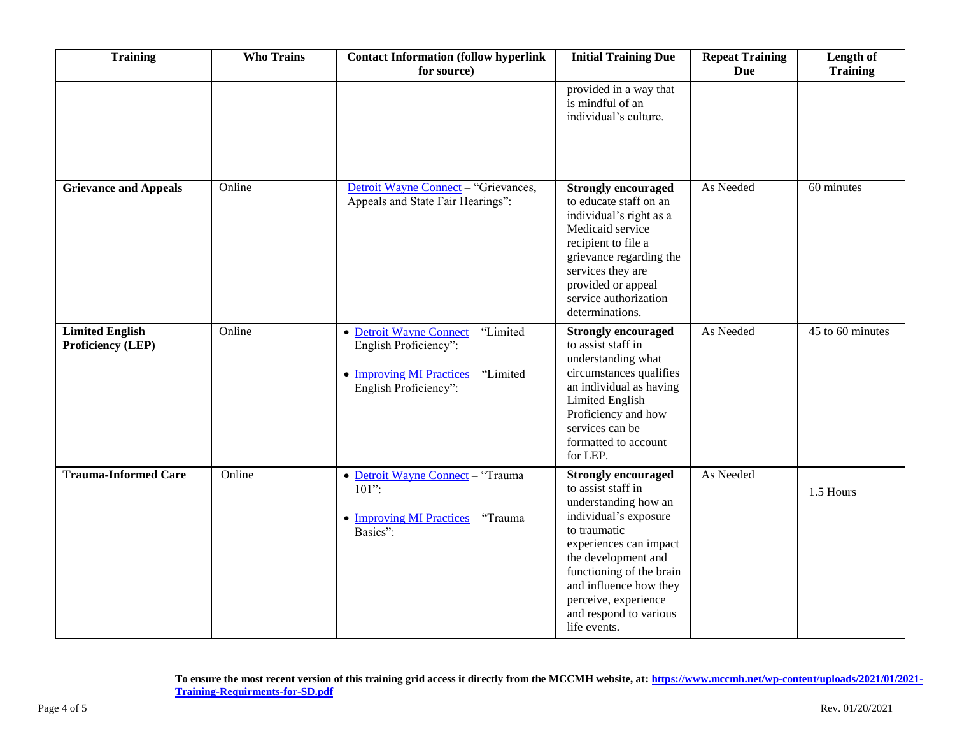| <b>Training</b>                                    | <b>Who Trains</b> | <b>Contact Information (follow hyperlink</b><br>for source)                                                                 | <b>Initial Training Due</b>                                                                                                                                                                                                                                                                | <b>Repeat Training</b><br><b>Due</b> | Length of<br><b>Training</b> |
|----------------------------------------------------|-------------------|-----------------------------------------------------------------------------------------------------------------------------|--------------------------------------------------------------------------------------------------------------------------------------------------------------------------------------------------------------------------------------------------------------------------------------------|--------------------------------------|------------------------------|
|                                                    |                   |                                                                                                                             | provided in a way that<br>is mindful of an<br>individual's culture.                                                                                                                                                                                                                        |                                      |                              |
| <b>Grievance and Appeals</b>                       | Online            | Detroit Wayne Connect - "Grievances,<br>Appeals and State Fair Hearings":                                                   | <b>Strongly encouraged</b><br>to educate staff on an<br>individual's right as a<br>Medicaid service<br>recipient to file a<br>grievance regarding the<br>services they are<br>provided or appeal<br>service authorization<br>determinations.                                               | As Needed                            | 60 minutes                   |
| <b>Limited English</b><br><b>Proficiency (LEP)</b> | Online            | • Detroit Wayne Connect - "Limited<br>English Proficiency":<br>• Improving MI Practices - "Limited<br>English Proficiency": | <b>Strongly encouraged</b><br>to assist staff in<br>understanding what<br>circumstances qualifies<br>an individual as having<br>Limited English<br>Proficiency and how<br>services can be<br>formatted to account<br>for LEP.                                                              | As Needed                            | 45 to 60 minutes             |
| <b>Trauma-Informed Care</b>                        | Online            | • Detroit Wayne Connect - "Trauma<br>$101$ ":<br>• Improving MI Practices - "Trauma<br>Basics":                             | <b>Strongly encouraged</b><br>to assist staff in<br>understanding how an<br>individual's exposure<br>to traumatic<br>experiences can impact<br>the development and<br>functioning of the brain<br>and influence how they<br>perceive, experience<br>and respond to various<br>life events. | As Needed                            | 1.5 Hours                    |